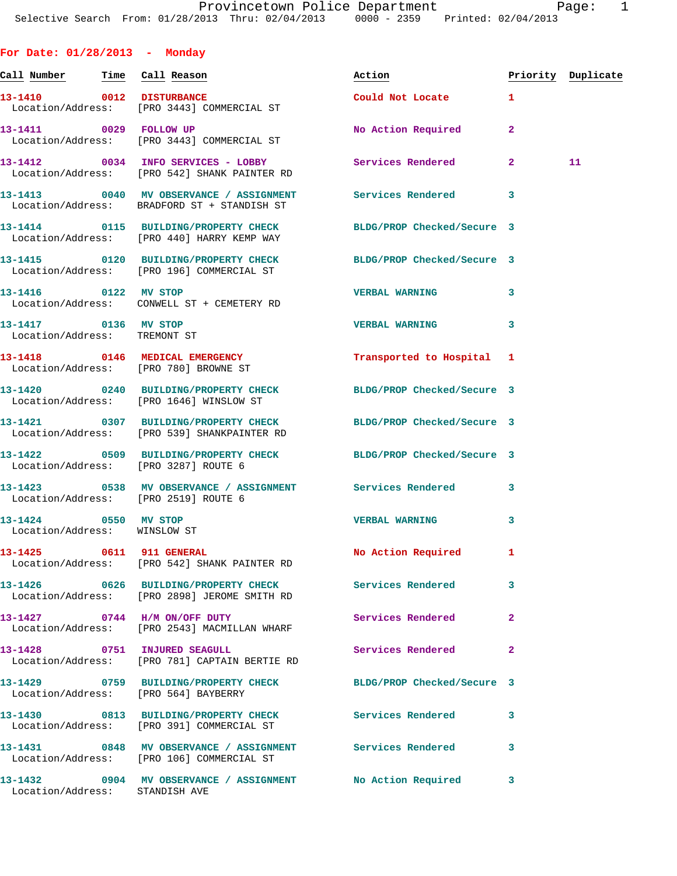**For Date: 01/28/2013 - Monday**

| Call Number Time Call Reason                         |                                                                                                                | Action                     | Priority Duplicate |    |
|------------------------------------------------------|----------------------------------------------------------------------------------------------------------------|----------------------------|--------------------|----|
| 13-1410 0012 DISTURBANCE                             | Location/Address: [PRO 3443] COMMERCIAL ST                                                                     | Could Not Locate 1         |                    |    |
|                                                      | 13-1411 0029 FOLLOW UP<br>Location/Address: [PRO 3443] COMMERCIAL ST                                           | No Action Required         | $\mathbf{2}$       |    |
|                                                      | 13-1412 0034 INFO SERVICES - LOBBY<br>Location/Address: [PRO 542] SHANK PAINTER RD                             | Services Rendered 2        |                    | 11 |
|                                                      | 13-1413 0040 MV OBSERVANCE / ASSIGNMENT Services Rendered<br>Location/Address: BRADFORD ST + STANDISH ST       |                            | 3                  |    |
|                                                      | 13-1414 0115 BUILDING/PROPERTY CHECK<br>Location/Address: [PRO 440] HARRY KEMP WAY                             | BLDG/PROP Checked/Secure 3 |                    |    |
|                                                      | 13-1415 0120 BUILDING/PROPERTY CHECK<br>Location/Address: [PRO 196] COMMERCIAL ST                              | BLDG/PROP Checked/Secure 3 |                    |    |
|                                                      | 13-1416 0122 MV STOP<br>Location/Address: CONWELL ST + CEMETERY RD                                             | <b>VERBAL WARNING</b>      | 3                  |    |
| 13-1417 0136 MV STOP<br>Location/Address: TREMONT ST |                                                                                                                | <b>VERBAL WARNING</b>      | 3                  |    |
|                                                      | 13-1418 0146 MEDICAL EMERGENCY<br>Location/Address: [PRO 780] BROWNE ST                                        | Transported to Hospital 1  |                    |    |
|                                                      | 13-1420 0240 BUILDING/PROPERTY CHECK BLDG/PROP Checked/Secure 3<br>Location/Address: [PRO 1646] WINSLOW ST     |                            |                    |    |
|                                                      | 13-1421 0307 BUILDING/PROPERTY CHECK BLDG/PROP Checked/Secure 3<br>Location/Address: [PRO 539] SHANKPAINTER RD |                            |                    |    |
|                                                      | 13-1422 0509 BUILDING/PROPERTY CHECK BLDG/PROP Checked/Secure 3<br>Location/Address: [PRO 3287] ROUTE 6        |                            |                    |    |
|                                                      | 13-1423 		 0538 MV OBSERVANCE / ASSIGNMENT Services Rendered<br>Location/Address: [PRO 2519] ROUTE 6           |                            | 3                  |    |
| 13-1424 0550 MV STOP<br>Location/Address: WINSLOW ST |                                                                                                                | <b>VERBAL WARNING</b>      | 3                  |    |
| 13-1425 0611 911 GENERAL                             | Location/Address: [PRO 542] SHANK PAINTER RD                                                                   | No Action Required         | $\mathbf{1}$       |    |
|                                                      | 13-1426 0626 BUILDING/PROPERTY CHECK<br>Location/Address: [PRO 2898] JEROME SMITH RD                           | <b>Services Rendered</b>   | 3                  |    |
|                                                      | 13-1427 0744 H/M ON/OFF DUTY<br>Location/Address: [PRO 2543] MACMILLAN WHARF                                   | Services Rendered          | $\overline{a}$     |    |
|                                                      | 13-1428 0751 INJURED SEAGULL<br>Location/Address: [PRO 781] CAPTAIN BERTIE RD                                  | Services Rendered          | $\overline{a}$     |    |
|                                                      | 13-1429 0759 BUILDING/PROPERTY CHECK BLDG/PROP Checked/Secure 3<br>Location/Address: [PRO 564] BAYBERRY        |                            |                    |    |
|                                                      | 13-1430 0813 BUILDING/PROPERTY CHECK Services Rendered<br>Location/Address: [PRO 391] COMMERCIAL ST            |                            | 3                  |    |
|                                                      | 13-1431 0848 MV OBSERVANCE / ASSIGNMENT Services Rendered<br>Location/Address: [PRO 106] COMMERCIAL ST         |                            | 3                  |    |
| Location/Address: STANDISH AVE                       | 13-1432 0904 MV OBSERVANCE / ASSIGNMENT No Action Required                                                     |                            | 3                  |    |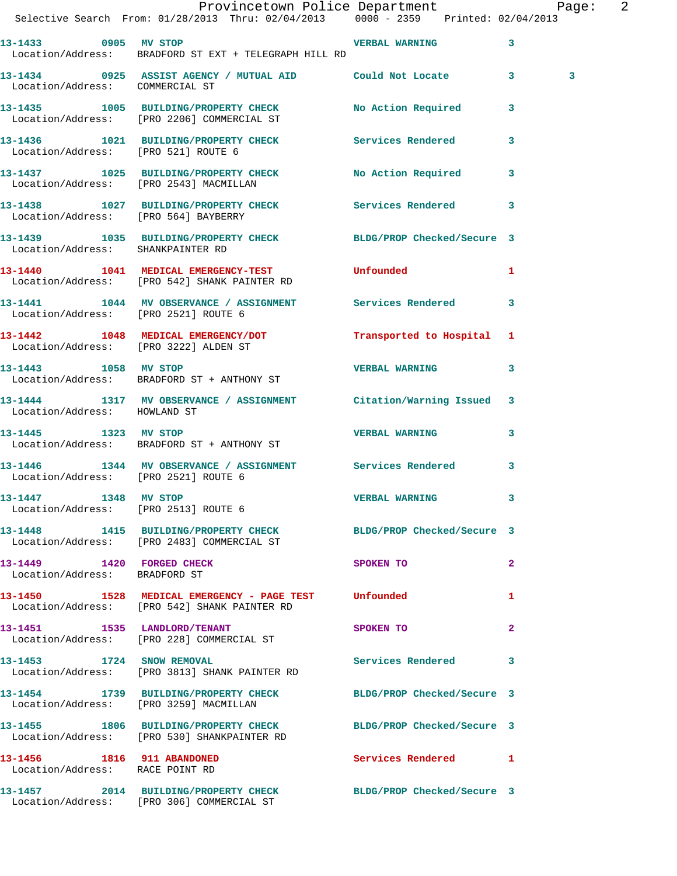|                                                                | Provincetown Police Department Page: 2<br>Selective Search From: 01/28/2013 Thru: 02/04/2013 0000 - 2359 Printed: 02/04/2013 |                       |              |
|----------------------------------------------------------------|------------------------------------------------------------------------------------------------------------------------------|-----------------------|--------------|
|                                                                | Location/Address: BRADFORD ST EXT + TELEGRAPH HILL RD                                                                        |                       | 3            |
| Location/Address: COMMERCIAL ST                                | 13-1434 0925 ASSIST AGENCY / MUTUAL AID Could Not Locate 3                                                                   |                       | 3            |
|                                                                | 13-1435 1005 BUILDING/PROPERTY CHECK No Action Required 3<br>Location/Address: [PRO 2206] COMMERCIAL ST                      |                       |              |
|                                                                | 13-1436 1021 BUILDING/PROPERTY CHECK Services Rendered<br>Location/Address: [PRO 521] ROUTE 6                                |                       | $\mathbf{3}$ |
|                                                                | 13-1437 1025 BUILDING/PROPERTY CHECK No Action Required 3<br>Location/Address: [PRO 2543] MACMILLAN                          |                       |              |
|                                                                | 13-1438 1027 BUILDING/PROPERTY CHECK Services Rendered<br>Location/Address: [PRO 564] BAYBERRY                               |                       | 3            |
|                                                                | 13-1439 1035 BUILDING/PROPERTY CHECK BLDG/PROP Checked/Secure 3<br>Location/Address: SHANKPAINTER RD                         |                       |              |
|                                                                | 13-1440 1041 MEDICAL EMERGENCY-TEST Unfounded<br>Location/Address: [PRO 542] SHANK PAINTER RD                                |                       | 1            |
|                                                                | 13-1441 1044 MV OBSERVANCE / ASSIGNMENT Services Rendered 3<br>Location/Address: [PRO 2521] ROUTE 6                          |                       |              |
|                                                                | 13-1442 1048 MEDICAL EMERGENCY/DOT Transported to Hospital 1<br>Location/Address: [PRO 3222] ALDEN ST                        |                       |              |
| 13-1443 1058 MV STOP                                           | Location/Address: BRADFORD ST + ANTHONY ST                                                                                   | <b>VERBAL WARNING</b> | 3            |
| Location/Address: HOWLAND ST                                   | 13-1444 1317 MV OBSERVANCE / ASSIGNMENT Citation/Warning Issued 3                                                            |                       |              |
| 13-1445 1323 MV STOP                                           | Location/Address: BRADFORD ST + ANTHONY ST                                                                                   | <b>VERBAL WARNING</b> | 3            |
|                                                                | 13-1446 1344 MV OBSERVANCE / ASSIGNMENT Services Rendered 3<br>Location/Address: [PRO 2521] ROUTE 6                          |                       |              |
|                                                                | 13-1447 1348 MV STOP<br>Location/Address: [PRO 2513] ROUTE 6                                                                 | <b>VERBAL WARNING</b> |              |
|                                                                | 13-1448 1415 BUILDING/PROPERTY CHECK BLDG/PROP Checked/Secure 3<br>Location/Address: [PRO 2483] COMMERCIAL ST                |                       |              |
| 13-1449   1420   FORGED CHECK<br>Location/Address: BRADFORD ST |                                                                                                                              | SPOKEN TO             | $\mathbf{2}$ |
|                                                                | 13-1450 1528 MEDICAL EMERGENCY - PAGE TEST Unfounded<br>Location/Address: [PRO 542] SHANK PAINTER RD                         |                       | 1            |
|                                                                | 13-1451 1535 LANDLORD/TENANT<br>Location/Address: [PRO 228] COMMERCIAL ST                                                    | SPOKEN TO             | $\mathbf{2}$ |
|                                                                | 13-1453 1724 SNOW REMOVAL<br>Location/Address: [PRO 3813] SHANK PAINTER RD                                                   | Services Rendered     | 3            |
|                                                                | 13-1454 1739 BUILDING/PROPERTY CHECK BLDG/PROP Checked/Secure 3<br>Location/Address: [PRO 3259] MACMILLAN                    |                       |              |
|                                                                | 13-1455 1806 BUILDING/PROPERTY CHECK BLDG/PROP Checked/Secure 3<br>Location/Address: [PRO 530] SHANKPAINTER RD               |                       |              |
| 13-1456 1816 911 ABANDONED<br>Location/Address: RACE POINT RD  |                                                                                                                              | Services Rendered 1   |              |
|                                                                | 13-1457 2014 BUILDING/PROPERTY CHECK BLDG/PROP Checked/Secure 3<br>Location/Address: [PRO 306] COMMERCIAL ST                 |                       |              |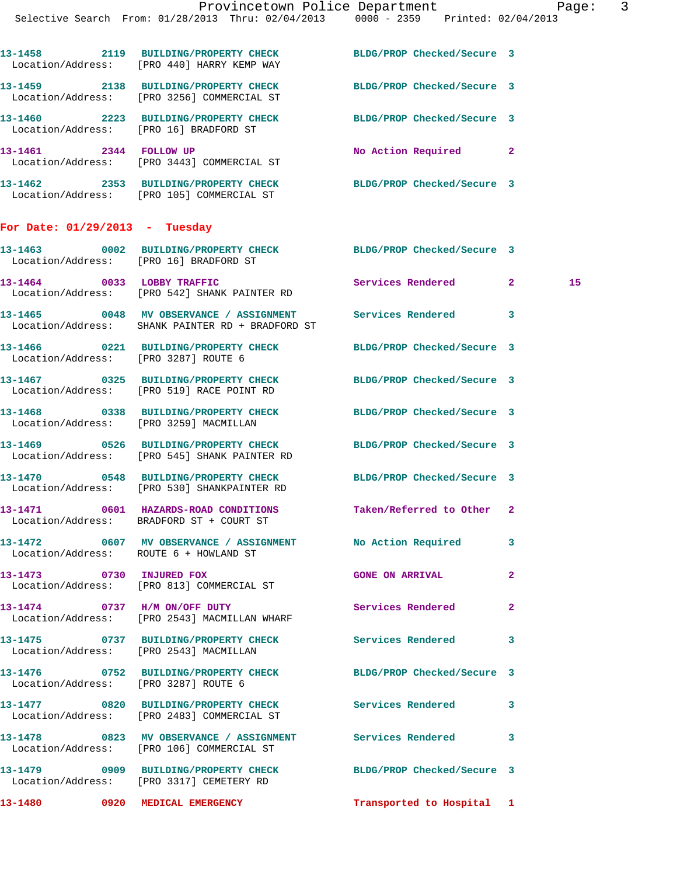| 13-1458<br>2119<br>Location/Address:          | <b>BUILDING/PROPERTY CHECK</b><br>[PRO 440] HARRY KEMP WAY     | BLDG/PROP Checked/Secure 3 |                |
|-----------------------------------------------|----------------------------------------------------------------|----------------------------|----------------|
| 13-1459<br>2138<br>Location/Address:          | <b>BUILDING/PROPERTY CHECK</b><br>[PRO 3256] COMMERCIAL ST     | BLDG/PROP Checked/Secure 3 |                |
| 13-1460<br>2223<br>Location/Address:          | <b>BUILDING/PROPERTY CHECK</b><br>[PRO 16] BRADFORD ST         | BLDG/PROP Checked/Secure 3 |                |
| 13-1461<br>2344                               | <b>FOLLOW UP</b><br>Location/Address: [PRO 3443] COMMERCIAL ST | No Action Required         | $\overline{2}$ |
| 1.2.1.6<br>$\mathbf{a} \mathbf{b} \mathbf{b}$ | <b>DITTY DIVIG (DDADDRII)</b> GUIDAV                           |                            |                |

**13-1462 2353 BUILDING/PROPERTY CHECK BLDG/PROP Checked/Secure 3**  Location/Address: [PRO 105] COMMERCIAL ST

## **For Date: 01/29/2013 - Tuesday**

| 13–1463<br>Location/Address: | 0002 | <b>BUILDING/PROPERTY CHECK</b><br>[PRO 16] BRADFORD ST | BLDG/PROP Checked/Secure 3 |     |
|------------------------------|------|--------------------------------------------------------|----------------------------|-----|
| 13-1464<br>Location/Address: | 0033 | LOBBY TRAFFIC<br>[PRO 542] SHANK PAINTER RD            | Services Rendered          | 15. |

**13-1465 0048 MV OBSERVANCE / ASSIGNMENT Services Rendered 3**  Location/Address: SHANK PAINTER RD + BRADFORD ST

**13-1466 0221 BUILDING/PROPERTY CHECK BLDG/PROP Checked/Secure 3**  Location/Address: [PRO 3287] ROUTE 6

**13-1467 0325 BUILDING/PROPERTY CHECK BLDG/PROP Checked/Secure 3**  Location/Address: [PRO 519] RACE POINT RD

**13-1468 0338 BUILDING/PROPERTY CHECK BLDG/PROP Checked/Secure 3**  Location/Address: [PRO 3259] MACMILLAN

**13-1469 0526 BUILDING/PROPERTY CHECK BLDG/PROP Checked/Secure 3**  Location/Address: [PRO 545] SHANK PAINTER RD

**13-1470 0548 BUILDING/PROPERTY CHECK BLDG/PROP Checked/Secure 3**  Location/Address: [PRO 530] SHANKPAINTER RD

**13-1471 0601 HAZARDS-ROAD CONDITIONS Taken/Referred to Other 2**  Location/Address: BRADFORD ST + COURT ST

**13-1472 0607 MV OBSERVANCE / ASSIGNMENT No Action Required 3**  Location/Address: ROUTE 6 + HOWLAND ST

**13-1474 0737 H/M ON/OFF DUTY Services Rendered 2** 

Location/Address: [PRO 3287] ROUTE 6

Location/Address: [PRO 106] COMMERCIAL ST

**13-1479 0909 BUILDING/PROPERTY CHECK BLDG/PROP Checked/Secure 3** 

**13-1473 0730 INJURED FOX GONE ON ARRIVAL 2**  Location/Address: [PRO 813] COMMERCIAL ST

Location/Address: [PRO 2543] MACMILLAN WHARF

**13-1475 0737 BUILDING/PROPERTY CHECK Services Rendered 3**  Location/Address: [PRO 2543] MACMILLAN

**13-1476 0752 BUILDING/PROPERTY CHECK BLDG/PROP Checked/Secure 3** 

**13-1477 0820 BUILDING/PROPERTY CHECK Services Rendered 3**  Location/Address: [PRO 2483] COMMERCIAL ST

**13-1478 0823 MV OBSERVANCE / ASSIGNMENT Services Rendered 3** 

Location/Address: [PRO 3317] CEMETERY RD

**13-1480 0920 MEDICAL EMERGENCY Transported to Hospital 1**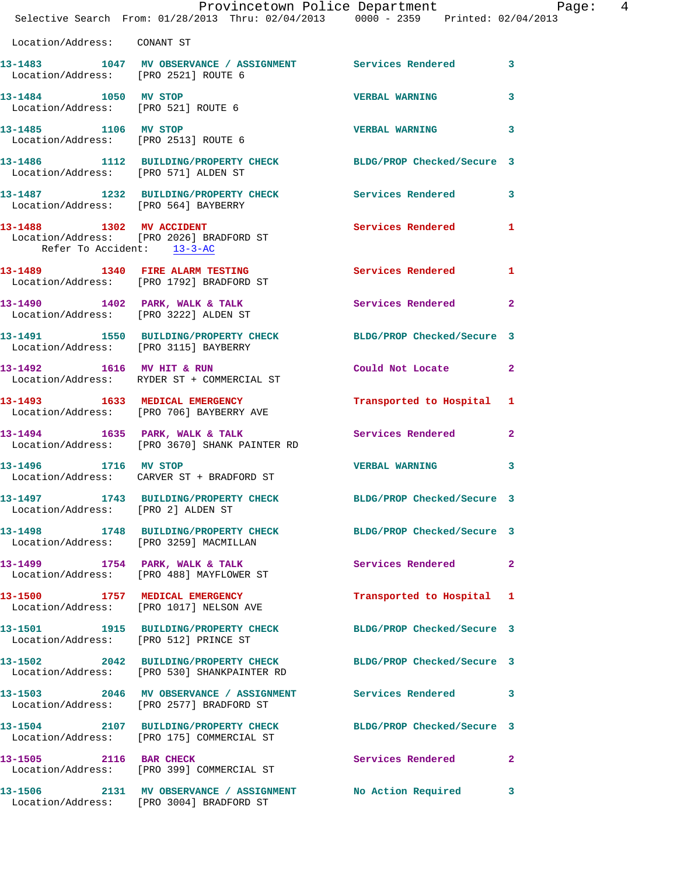|                             | Provincetown Police Department Page: 4<br>Selective Search From: 01/28/2013 Thru: 02/04/2013 0000 - 2359 Printed: 02/04/2013 |                            |              |
|-----------------------------|------------------------------------------------------------------------------------------------------------------------------|----------------------------|--------------|
| Location/Address: CONANT ST |                                                                                                                              |                            |              |
|                             | 13-1483 1047 MV OBSERVANCE / ASSIGNMENT Services Rendered 3<br>Location/Address: [PRO 2521] ROUTE 6                          |                            |              |
|                             | 13-1484 1050 MV STOP<br>Location/Address: [PRO 521] ROUTE 6                                                                  | <b>VERBAL WARNING</b>      | 3            |
| 13-1485 1106 MV STOP        | Location/Address: [PRO 2513] ROUTE 6                                                                                         | <b>VERBAL WARNING</b>      | 3            |
|                             | 13-1486 1112 BUILDING/PROPERTY CHECK BLDG/PROP Checked/Secure 3<br>Location/Address: [PRO 571] ALDEN ST                      |                            |              |
|                             | 13-1487 1232 BUILDING/PROPERTY CHECK Services Rendered 3<br>Location/Address: [PRO 564] BAYBERRY                             |                            |              |
| Refer To Accident: 13-3-AC  | 13-1488 1302 MV ACCIDENT<br>Location/Address: [PRO 2026] BRADFORD ST                                                         | Services Rendered 1        |              |
|                             | 13-1489 1340 FIRE ALARM TESTING<br>Location/Address: [PRO 1792] BRADFORD ST                                                  | Services Rendered 1        |              |
|                             | 13-1490 1402 PARK, WALK & TALK 1988 Services Rendered 2<br>Location/Address: [PRO 3222] ALDEN ST                             |                            |              |
|                             | 13-1491 1550 BUILDING/PROPERTY CHECK BLDG/PROP Checked/Secure 3<br>Location/Address: [PRO 3115] BAYBERRY                     |                            |              |
|                             | 13-1492 1616 MV HIT & RUN<br>Location/Address: RYDER ST + COMMERCIAL ST                                                      | Could Not Locate 2         |              |
|                             | 13-1493 1633 MEDICAL EMERGENCY<br>Location/Address: [PRO 706] BAYBERRY AVE                                                   | Transported to Hospital 1  |              |
|                             | 13-1494 1635 PARK, WALK & TALK 1999 Services Rendered 2<br>Location/Address: [PRO 3670] SHANK PAINTER RD                     |                            |              |
|                             | 13-1496 1716 MV STOP<br>Location/Address: CARVER ST + BRADFORD ST                                                            | <b>VERBAL WARNING</b>      | 3            |
|                             | 13-1497 1743 BUILDING/PROPERTY CHECK<br>Location/Address: [PRO 2] ALDEN ST                                                   | BLDG/PROP Checked/Secure 3 |              |
|                             | 13-1498 1748 BUILDING/PROPERTY CHECK BLDG/PROP Checked/Secure 3<br>Location/Address: [PRO 3259] MACMILLAN                    |                            |              |
|                             | 13-1499 1754 PARK, WALK & TALK<br>Location/Address: [PRO 488] MAYFLOWER ST                                                   | Services Rendered          | $\mathbf{2}$ |
|                             | 13-1500 1757 MEDICAL EMERGENCY<br>Location/Address: [PRO 1017] NELSON AVE                                                    | Transported to Hospital 1  |              |
|                             | 13-1501 1915 BUILDING/PROPERTY CHECK BLDG/PROP Checked/Secure 3<br>Location/Address: [PRO 512] PRINCE ST                     |                            |              |
|                             | 13-1502 2042 BUILDING/PROPERTY CHECK BLDG/PROP Checked/Secure 3<br>Location/Address: [PRO 530] SHANKPAINTER RD               |                            |              |
|                             | 13-1503 2046 MV OBSERVANCE / ASSIGNMENT Services Rendered 3<br>Location/Address: [PRO 2577] BRADFORD ST                      |                            |              |
|                             | 13-1504 2107 BUILDING/PROPERTY CHECK<br>Location/Address: [PRO 175] COMMERCIAL ST                                            | BLDG/PROP Checked/Secure 3 |              |
| 13-1505 2116 BAR CHECK      | Location/Address: [PRO 399] COMMERCIAL ST                                                                                    | Services Rendered          | $\mathbf{2}$ |
|                             | 13-1506 2131 MV OBSERVANCE / ASSIGNMENT No Action Required                                                                   |                            | 3            |

Location/Address: [PRO 3004] BRADFORD ST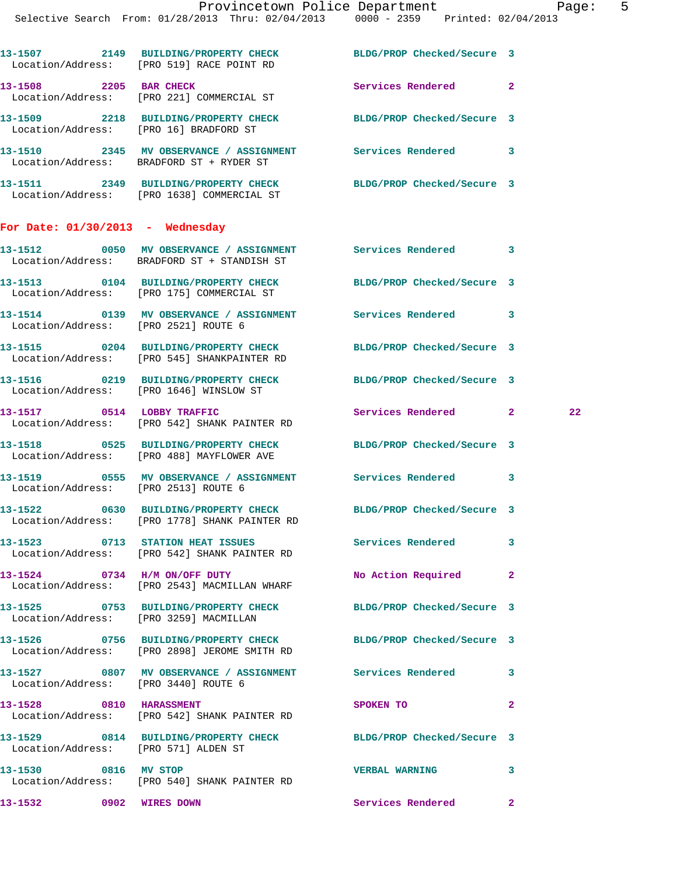| 13-1507<br>Location/Address: | 2149 | <b>BUILDING/PROPERTY CHECK</b><br>[PRO 519] RACE POINT RD | BLDG/PROP Checked/Secure 3 |  |
|------------------------------|------|-----------------------------------------------------------|----------------------------|--|
| 13-1508<br>Location/Address: | 2205 | <b>BAR CHECK</b><br>[PRO 221] COMMERCIAL ST               | Services Rendered          |  |
| 13-1509<br>Location/Address: | 2218 | <b>BUILDING/PROPERTY CHECK</b><br>[PRO 16] BRADFORD ST    | BLDG/PROP Checked/Secure 3 |  |
| 13-1510<br>Location/Address: | 2345 | MV OBSERVANCE / ASSIGNMENT<br>BRADFORD ST + RYDER ST      | Services Rendered          |  |

| 13–1511           | 2349 | <b>BUILDING/PROPERTY CHECK</b> | BLDG/PROP Checked/Secure 3 |  |
|-------------------|------|--------------------------------|----------------------------|--|
| Location/Address: |      | [PRO 1638] COMMERCIAL ST       |                            |  |

## **For Date: 01/30/2013 - Wednesday**

| 13–1512                      | 0050 | MV OBSERVANCE / ASSIGNMENT                                | Services Rendered          |  |
|------------------------------|------|-----------------------------------------------------------|----------------------------|--|
| Location/Address:            |      | BRADFORD ST + STANDISH ST                                 |                            |  |
| 13–1513<br>Location/Address: | 0104 | <b>BUILDING/PROPERTY CHECK</b><br>[PRO 175] COMMERCIAL ST | BLDG/PROP Checked/Secure 3 |  |
| 13–1514                      | 0139 | MV OBSERVANCE / ASSIGNMENT                                | Services Rendered          |  |

 Location/Address: [PRO 2521] ROUTE 6 **13-1515 0204 BUILDING/PROPERTY CHECK BLDG/PROP Checked/Secure 3** 

**13-1516 0219 BUILDING/PROPERTY CHECK BLDG/PROP Checked/Secure 3**  Location/Address: [PRO 1646] WINSLOW ST

Location/Address: [PRO 542] SHANK PAINTER RD

Location/Address: [PRO 545] SHANKPAINTER RD

**13-1518 0525 BUILDING/PROPERTY CHECK BLDG/PROP Checked/Secure 3**  Location/Address: [PRO 488] MAYFLOWER AVE

**13-1519 0555 MV OBSERVANCE / ASSIGNMENT Services Rendered 3**  Location/Address: [PRO 2513] ROUTE 6

Location/Address: [PRO 1778] SHANK PAINTER RD

**13-1523 0713 STATION HEAT ISSUES Services Rendered 3**  Location/Address: [PRO 542] SHANK PAINTER RD

Location/Address: [PRO 2543] MACMILLAN WHARF

Location/Address: [PRO 3259] MACMILLAN

Location/Address: [PRO 2898] JEROME SMITH RD

Location/Address: [PRO 3440] ROUTE 6

Location/Address: [PRO 542] SHANK PAINTER RD

**13-1529 0814 BUILDING/PROPERTY CHECK BLDG/PROP Checked/Secure 3**  Location/Address: [PRO 571] ALDEN ST

**13-1530 0816 MV STOP VERBAL WARNING 3**  Location/Address: [PRO 540] SHANK PAINTER RD

**13-1517 0514 LOBBY TRAFFIC Services Rendered 2 22** 

**13-1522 0630 BUILDING/PROPERTY CHECK BLDG/PROP Checked/Secure 3 13-1524 0734 H/M ON/OFF DUTY No Action Required 2 13-1525 0753 BUILDING/PROPERTY CHECK BLDG/PROP Checked/Secure 3 13-1526 0756 BUILDING/PROPERTY CHECK BLDG/PROP Checked/Secure 3 13-1527 0807 MV OBSERVANCE / ASSIGNMENT Services Rendered 3 13-1528** 0810 HARASSMENT SPOKEN TO 2

**13-1532 0902 WIRES DOWN Services Rendered 2**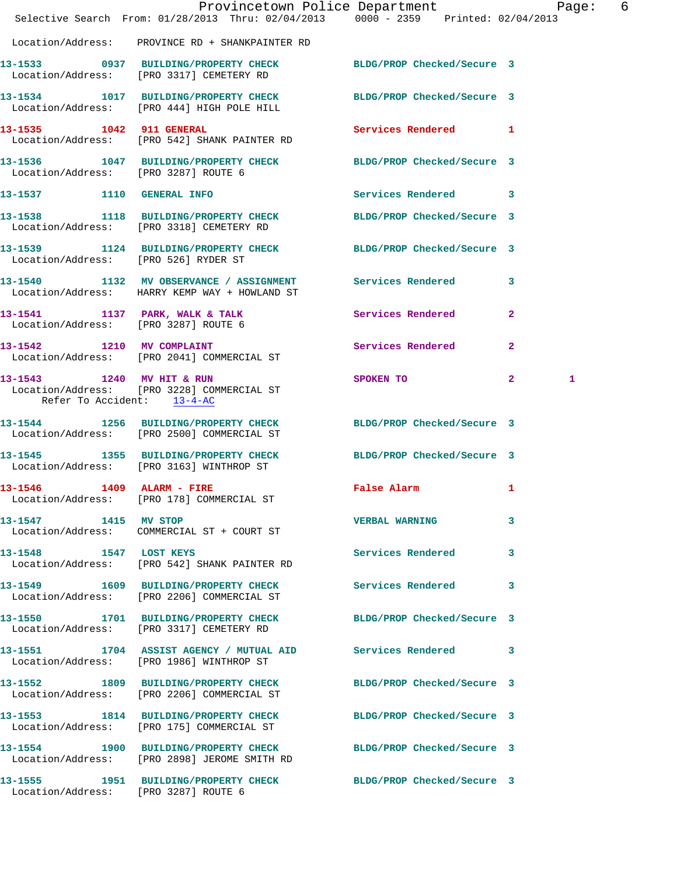|                                                         | Provincetown Police Department Page: 6<br>Selective Search From: 01/28/2013 Thru: 02/04/2013 0000 - 2359 Printed: 02/04/2013 |                                             |                   |
|---------------------------------------------------------|------------------------------------------------------------------------------------------------------------------------------|---------------------------------------------|-------------------|
|                                                         | Location/Address: PROVINCE RD + SHANKPAINTER RD                                                                              |                                             |                   |
|                                                         | 13-1533 0937 BUILDING/PROPERTY CHECK BLDG/PROP Checked/Secure 3<br>Location/Address: [PRO 3317] CEMETERY RD                  |                                             |                   |
|                                                         | 13-1534 1017 BUILDING/PROPERTY CHECK BLDG/PROP Checked/Secure 3<br>Location/Address: [PRO 444] HIGH POLE HILL                |                                             |                   |
| 13-1535 1042 911 GENERAL                                | Location/Address: [PRO 542] SHANK PAINTER RD                                                                                 | Services Rendered 1                         |                   |
|                                                         | 13-1536 1047 BUILDING/PROPERTY CHECK BLDG/PROP Checked/Secure 3<br>Location/Address: [PRO 3287] ROUTE 6                      |                                             |                   |
|                                                         | 13-1537 1110 GENERAL INFO                                                                                                    | Services Rendered 3                         |                   |
|                                                         | 13-1538 1118 BUILDING/PROPERTY CHECK BLDG/PROP Checked/Secure 3<br>Location/Address: [PRO 3318] CEMETERY RD                  |                                             |                   |
|                                                         | 13-1539 1124 BUILDING/PROPERTY CHECK BLDG/PROP Checked/Secure 3<br>Location/Address: [PRO 526] RYDER ST                      |                                             |                   |
|                                                         | 13-1540 1132 MV OBSERVANCE / ASSIGNMENT Services Rendered<br>Location/Address: HARRY KEMP WAY + HOWLAND ST                   |                                             | 3                 |
|                                                         | 13-1541 1137 PARK, WALK & TALK 1137 CONTRACT SERVICES Rendered<br>Location/Address: [PRO 3287] ROUTE 6                       |                                             | $\mathbf{2}$      |
|                                                         | 13-1542 1210 MV COMPLAINT<br>Location/Address: [PRO 2041] COMMERCIAL ST                                                      | Services Rendered                           | $\mathbf{2}$      |
| 13-1543 1240 MV HIT & RUN<br>Refer To Accident: 13-4-AC | Location/Address: [PRO 3228] COMMERCIAL ST                                                                                   | SPOKEN TO                                   | $\mathbf{2}$<br>1 |
|                                                         | 13-1544 1256 BUILDING/PROPERTY CHECK BLDG/PROP Checked/Secure 3<br>Location/Address: [PRO 2500] COMMERCIAL ST                |                                             |                   |
|                                                         | 13-1545 1355 BUILDING/PROPERTY CHECK<br>Location/Address: [PRO 3163] WINTHROP ST                                             | BLDG/PROP Checked/Secure 3                  |                   |
| 13-1546 1409 ALARM - FIRE                               | Location/Address: [PRO 178] COMMERCIAL ST                                                                                    | False Alarm <b>Exercise Service Service</b> | $\mathbf{1}$      |
| 13-1547 1415 MV STOP                                    | Location/Address: COMMERCIAL ST + COURT ST                                                                                   | <b>VERBAL WARNING</b>                       | 3                 |
| 13-1548 1547 LOST KEYS                                  | Location/Address: [PRO 542] SHANK PAINTER RD                                                                                 | Services Rendered                           | 3                 |
|                                                         | 13-1549 1609 BUILDING/PROPERTY CHECK Services Rendered<br>Location/Address: [PRO 2206] COMMERCIAL ST                         |                                             | 3                 |
|                                                         | 13-1550 1701 BUILDING/PROPERTY CHECK<br>Location/Address: [PRO 3317] CEMETERY RD                                             | BLDG/PROP Checked/Secure 3                  |                   |
|                                                         | 13-1551 1704 ASSIST AGENCY / MUTUAL AID Services Rendered<br>Location/Address: [PRO 1986] WINTHROP ST                        |                                             | 3                 |
|                                                         | 13-1552 1809 BUILDING/PROPERTY CHECK BLDG/PROP Checked/Secure 3<br>Location/Address: [PRO 2206] COMMERCIAL ST                |                                             |                   |
|                                                         | 13-1553 1814 BUILDING/PROPERTY CHECK BLDG/PROP Checked/Secure 3<br>Location/Address: [PRO 175] COMMERCIAL ST                 |                                             |                   |
|                                                         | 13-1554 1900 BUILDING/PROPERTY CHECK BLDG/PROP Checked/Secure 3<br>Location/Address: [PRO 2898] JEROME SMITH RD              |                                             |                   |
|                                                         | 13-1555 1951 BUILDING/PROPERTY CHECK BLDG/PROP Checked/Secure 3<br>Location/Address: [PRO 3287] ROUTE 6                      |                                             |                   |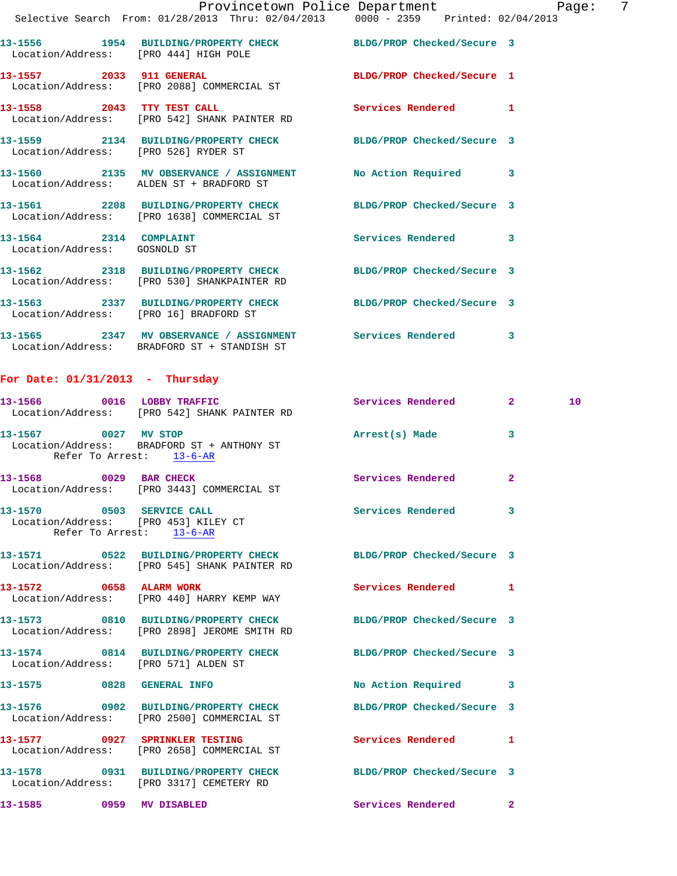|                              |                                                                            | Provincetown Police Department                                                     |                     |                         | Page: | 7 |
|------------------------------|----------------------------------------------------------------------------|------------------------------------------------------------------------------------|---------------------|-------------------------|-------|---|
|                              |                                                                            | Selective Search From: 01/28/2013 Thru: 02/04/2013 0000 - 2359 Printed: 02/04/2013 |                     |                         |       |   |
|                              | Location/Address: [PRO 444] HIGH POLE                                      | 13-1556 1954 BUILDING/PROPERTY CHECK BLDG/PROP Checked/Secure 3                    |                     |                         |       |   |
|                              | Location/Address: [PRO 2088] COMMERCIAL ST                                 | 13-1557 2033 911 GENERAL BLDG/PROP Checked/Secure 1                                |                     |                         |       |   |
|                              | 13-1558 2043 TTY TEST CALL<br>Location/Address: [PRO 542] SHANK PAINTER RD |                                                                                    | Services Rendered 1 |                         |       |   |
|                              | Location/Address: [PRO 526] RYDER ST                                       | 13-1559 2134 BUILDING/PROPERTY CHECK BLDG/PROP Checked/Secure 3                    |                     |                         |       |   |
|                              | Location/Address: ALDEN ST + BRADFORD ST                                   | 13-1560 2135 MV OBSERVANCE / ASSIGNMENT No Action Required 3                       |                     |                         |       |   |
|                              | Location/Address: [PRO 1638] COMMERCIAL ST                                 | 13-1561 2208 BUILDING/PROPERTY CHECK BLDG/PROP Checked/Secure 3                    |                     |                         |       |   |
| Location/Address: GOSNOLD ST | 13-1564 2314 COMPLAINT                                                     |                                                                                    | Services Rendered 3 |                         |       |   |
|                              | Location/Address: [PRO 530] SHANKPAINTER RD                                | 13-1562 2318 BUILDING/PROPERTY CHECK BLDG/PROP Checked/Secure 3                    |                     |                         |       |   |
|                              | Location/Address: [PRO 16] BRADFORD ST                                     | 13-1563 2337 BUILDING/PROPERTY CHECK BLDG/PROP Checked/Secure 3                    |                     |                         |       |   |
|                              | Location/Address: BRADFORD ST + STANDISH ST                                | 13-1565 2347 MV OBSERVANCE / ASSIGNMENT Services Rendered                          |                     | $\overline{\mathbf{3}}$ |       |   |

## **For Date: 01/31/2013 - Thursday**

|                           | 13-1566 0016 LOBBY TRAFFIC<br>Location/Address: [PRO 542] SHANK PAINTER RD         | Services Rendered                                               | $\overline{\mathbf{2}}$ and $\overline{\mathbf{2}}$ and $\overline{\mathbf{2}}$ | 10 |
|---------------------------|------------------------------------------------------------------------------------|-----------------------------------------------------------------|---------------------------------------------------------------------------------|----|
| 13-1567 0027 MV STOP      | Location/Address: BRADFORD ST + ANTHONY ST<br>Refer To Arrest: 13-6-AR             | Arrest(s) Made                                                  | 3                                                                               |    |
|                           | 13-1568 0029 BAR CHECK<br>Location/Address: [PRO 3443] COMMERCIAL ST               | <b>Services Rendered</b>                                        | $\overline{a}$                                                                  |    |
| Refer To Arrest: 13-6-AR  | 13-1570 0503 SERVICE CALL<br>Location/Address: [PRO 453] KILEY CT                  | Services Rendered                                               | 3                                                                               |    |
|                           | Location/Address: [PRO 545] SHANK PAINTER RD                                       | 13-1571 0522 BUILDING/PROPERTY CHECK BLDG/PROP Checked/Secure 3 |                                                                                 |    |
|                           | 13-1572 0658 ALARM WORK<br>Location/Address: [PRO 440] HARRY KEMP WAY              | <b>Services Rendered</b>                                        | 1                                                                               |    |
|                           | Location/Address: [PRO 2898] JEROME SMITH RD                                       | 13-1573 0810 BUILDING/PROPERTY CHECK BLDG/PROP Checked/Secure 3 |                                                                                 |    |
|                           | Location/Address: [PRO 571] ALDEN ST                                               | 13-1574 0814 BUILDING/PROPERTY CHECK BLDG/PROP Checked/Secure 3 |                                                                                 |    |
| 13-1575 0828 GENERAL INFO |                                                                                    | No Action Required                                              | 3                                                                               |    |
|                           | 13-1576 0902 BUILDING/PROPERTY CHECK<br>Location/Address: [PRO 2500] COMMERCIAL ST | BLDG/PROP Checked/Secure 3                                      |                                                                                 |    |
|                           | 13-1577 0927 SPRINKLER TESTING<br>Location/Address: [PRO 2658] COMMERCIAL ST       | <b>Services Rendered</b>                                        | 1                                                                               |    |
|                           | 13-1578 0931 BUILDING/PROPERTY CHECK<br>Location/Address: [PRO 3317] CEMETERY RD   | BLDG/PROP Checked/Secure 3                                      |                                                                                 |    |
| 13-1585 0959 MV DISABLED  |                                                                                    | <b>Services Rendered</b>                                        | $\mathbf{2}$                                                                    |    |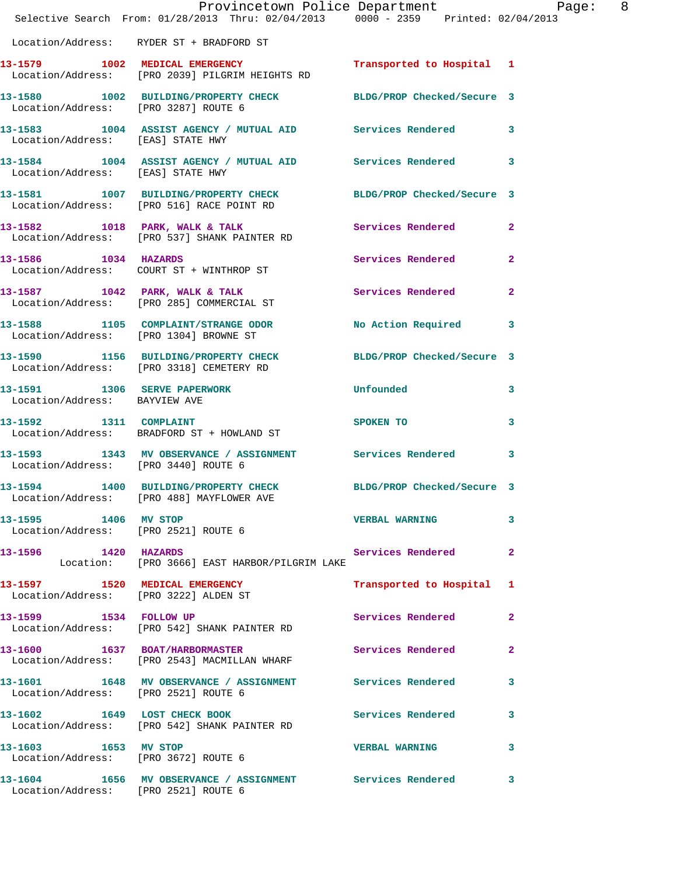|                                       | Provincetown Police Department Page: 8<br>Selective Search From: $01/28/2013$ Thru: $02/04/2013$ 0000 - 2359 Printed: 02/04/2013 |                                                                                                                                                                                                                               |                |
|---------------------------------------|----------------------------------------------------------------------------------------------------------------------------------|-------------------------------------------------------------------------------------------------------------------------------------------------------------------------------------------------------------------------------|----------------|
|                                       | Location/Address: RYDER ST + BRADFORD ST                                                                                         |                                                                                                                                                                                                                               |                |
|                                       | 13-1579 1002 MEDICAL EMERGENCY Transported to Hospital 1<br>Location/Address: [PRO 2039] PILGRIM HEIGHTS RD                      |                                                                                                                                                                                                                               |                |
| Location/Address: [PRO 3287] ROUTE 6  | 13-1580 1002 BUILDING/PROPERTY CHECK BLDG/PROP Checked/Secure 3                                                                  |                                                                                                                                                                                                                               |                |
| Location/Address: [EAS] STATE HWY     | 13-1583 1004 ASSIST AGENCY / MUTUAL AID Services Rendered 3                                                                      |                                                                                                                                                                                                                               |                |
|                                       | 13-1584 1004 ASSIST AGENCY / MUTUAL AID Services Rendered 3<br>Location/Address: [EAS] STATE HWY                                 |                                                                                                                                                                                                                               |                |
|                                       | 13-1581 1007 BUILDING/PROPERTY CHECK BLDG/PROP Checked/Secure 3<br>Location/Address: [PRO 516] RACE POINT RD                     |                                                                                                                                                                                                                               |                |
|                                       | 13-1582 1018 PARK, WALK & TALK<br>Location/Address: [PRO 537] SHANK PAINTER RD                                                   | Services Rendered 2                                                                                                                                                                                                           |                |
| 13-1586 1034 HAZARDS                  | Location/Address: COURT ST + WINTHROP ST                                                                                         | Services Rendered                                                                                                                                                                                                             | $\overline{2}$ |
|                                       | 13-1587 1042 PARK, WALK & TALK 1999 Services Rendered 2<br>Location/Address: [PRO 285] COMMERCIAL ST                             |                                                                                                                                                                                                                               |                |
|                                       | 13-1588 1105 COMPLAINT/STRANGE ODOR<br>Location/Address: [PRO 1304] BROWNE ST                                                    | No Action Required 3                                                                                                                                                                                                          |                |
|                                       | 13-1590 1156 BUILDING/PROPERTY CHECK BLDG/PROP Checked/Secure 3<br>Location/Address: [PRO 3318] CEMETERY RD                      |                                                                                                                                                                                                                               |                |
| Location/Address: BAYVIEW AVE         | 13-1591 1306 SERVE PAPERWORK                                                                                                     | <b>Unfounded</b>                                                                                                                                                                                                              | $\mathbf{3}$   |
| 13-1592 1311 COMPLAINT                | Location/Address: BRADFORD ST + HOWLAND ST                                                                                       | SPOKEN TO THE STATE OF THE STATE OF THE STATE OF THE STATE OF THE STATE OF THE STATE OF THE STATE OF THE STATE OF THE STATE OF THE STATE OF THE STATE OF THE STATE OF THE STATE OF THE STATE OF THE STATE OF THE STATE OF THE | $\mathbf{3}$   |
| Location/Address: [PRO 3440] ROUTE 6  | 13-1593 1343 MV OBSERVANCE / ASSIGNMENT Services Rendered 3                                                                      |                                                                                                                                                                                                                               |                |
|                                       | 13-1594 1400 BUILDING/PROPERTY CHECK BLDG/PROP Checked/Secure 3<br>Location/Address: [PRO 488] MAYFLOWER AVE                     |                                                                                                                                                                                                                               |                |
| 13-1595 1406 MV STOP                  | Location/Address: [PRO 2521] ROUTE 6                                                                                             | <b>VERBAL WARNING</b>                                                                                                                                                                                                         | 3              |
| 13-1596 1420 HAZARDS                  | Location: [PRO 3666] EAST HARBOR/PILGRIM LAKE                                                                                    | Services Rendered 2                                                                                                                                                                                                           |                |
| Location/Address: [PRO 3222] ALDEN ST | 13-1597 1520 MEDICAL EMERGENCY                                                                                                   | Transported to Hospital 1                                                                                                                                                                                                     |                |
|                                       | 13-1599 1534 FOLLOW UP<br>Location/Address: [PRO 542] SHANK PAINTER RD                                                           | Services Rendered 2                                                                                                                                                                                                           |                |
|                                       | 13-1600 1637 BOAT/HARBORMASTER<br>Location/Address: [PRO 2543] MACMILLAN WHARF                                                   | <b>Services Rendered</b> 2                                                                                                                                                                                                    |                |
| Location/Address: [PRO 2521] ROUTE 6  | 13-1601 1648 MV OBSERVANCE / ASSIGNMENT Services Rendered 3                                                                      |                                                                                                                                                                                                                               |                |
|                                       | 13-1602 1649 LOST CHECK BOOK<br>Location/Address: [PRO 542] SHANK PAINTER RD                                                     | Services Rendered 3                                                                                                                                                                                                           |                |
| 13-1603 1653 MV STOP                  | Location/Address: [PRO 3672] ROUTE 6                                                                                             | <b>VERBAL WARNING 3</b>                                                                                                                                                                                                       |                |
|                                       | 13-1604 1656 MV OBSERVANCE / ASSIGNMENT Services Rendered 3<br>Location/Address: [PRO 2521] ROUTE 6                              |                                                                                                                                                                                                                               |                |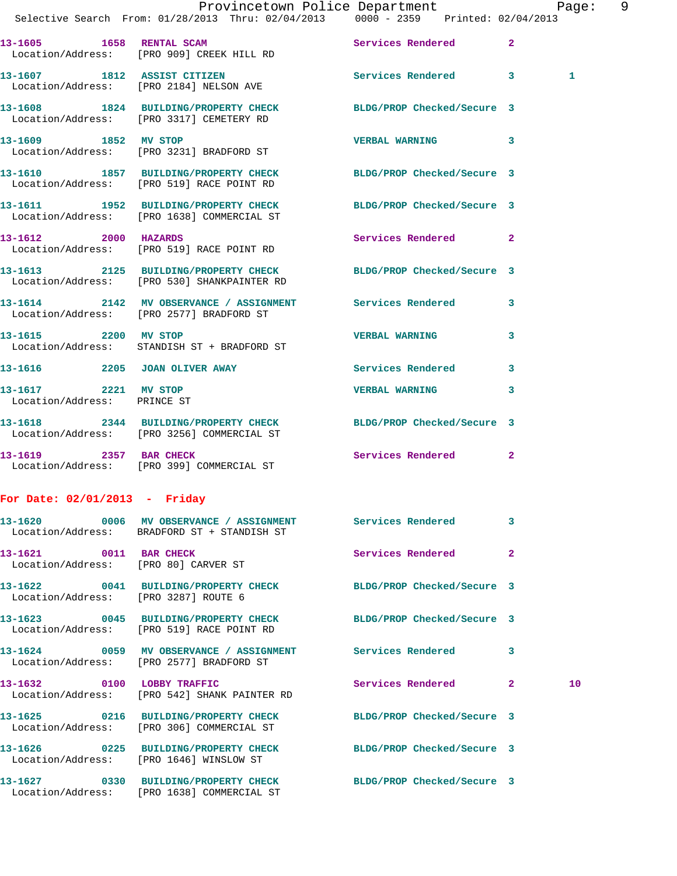|                                                                | Provincetown Police Department                                                                               |                            | Page: 9        |
|----------------------------------------------------------------|--------------------------------------------------------------------------------------------------------------|----------------------------|----------------|
|                                                                | Selective Search From: 01/28/2013 Thru: 02/04/2013 0000 - 2359 Printed: 02/04/2013                           |                            |                |
|                                                                | 13-1605 1658 RENTAL SCAM<br>Location/Address: [PRO 909] CREEK HILL RD                                        | Services Rendered 2        |                |
|                                                                | 13-1607 1812 ASSIST CITIZEN<br>Location/Address: [PRO 2184] NELSON AVE                                       | Services Rendered 3        | $\mathbf{1}$   |
|                                                                | 13-1608 1824 BUILDING/PROPERTY CHECK<br>Location/Address: [PRO 3317] CEMETERY RD                             | BLDG/PROP Checked/Secure 3 |                |
| 13-1609 1852 MV STOP                                           | Location/Address: [PRO 3231] BRADFORD ST                                                                     | VERBAL WARNING 3           |                |
|                                                                | 13-1610 1857 BUILDING/PROPERTY CHECK BLDG/PROP Checked/Secure 3<br>Location/Address: [PRO 519] RACE POINT RD |                            |                |
|                                                                | 13-1611 1952 BUILDING/PROPERTY CHECK<br>Location/Address: [PRO 1638] COMMERCIAL ST                           | BLDG/PROP Checked/Secure 3 |                |
| 13-1612 2000 HAZARDS                                           | Location/Address: [PRO 519] RACE POINT RD                                                                    | Services Rendered 2        |                |
|                                                                | 13-1613 2125 BUILDING/PROPERTY CHECK<br>Location/Address: [PRO 530] SHANKPAINTER RD                          | BLDG/PROP Checked/Secure 3 |                |
|                                                                | 13-1614 2142 MV OBSERVANCE / ASSIGNMENT Services Rendered 3<br>Location/Address: [PRO 2577] BRADFORD ST      |                            |                |
|                                                                | 13-1615 2200 MV STOP<br>Location/Address: STANDISH ST + BRADFORD ST                                          | <b>VERBAL WARNING</b>      | 3              |
|                                                                | 13-1616 2205 JOAN OLIVER AWAY                                                                                | Services Rendered 3        |                |
| 13-1617 2221 MV STOP<br>Location/Address: PRINCE ST            |                                                                                                              | VERBAL WARNING 3           |                |
|                                                                | 13-1618 2344 BUILDING/PROPERTY CHECK<br>Location/Address: [PRO 3256] COMMERCIAL ST                           | BLDG/PROP Checked/Secure 3 |                |
|                                                                | 13-1619 2357 BAR CHECK<br>Location/Address: [PRO 399] COMMERCIAL ST                                          | Services Rendered 2        |                |
| For Date: $02/01/2013$ - Friday                                |                                                                                                              |                            |                |
|                                                                | 13-1620 0006 MV OBSERVANCE / ASSIGNMENT Services Rendered 3<br>Location/Address: BRADFORD ST + STANDISH ST   |                            |                |
| 13-1621 0011 BAR CHECK<br>Location/Address: [PRO 80] CARVER ST |                                                                                                              | <b>Services Rendered</b>   | $\overline{2}$ |

**13-1622 0041 BUILDING/PROPERTY CHECK BLDG/PROP Checked/Secure 3**  Location/Address: [PRO 3287] ROUTE 6

**13-1623 0045 BUILDING/PROPERTY CHECK BLDG/PROP Checked/Secure 3** 

Location/Address: [PRO 519] RACE POINT RD

**13-1624 0059 MV OBSERVANCE / ASSIGNMENT Services Rendered 3**  Location/Address: [PRO 2577] BRADFORD ST

**13-1632** 0100 LOBBY TRAFFIC Services Rendered 2 10 Location/Address: [PRO 542] SHANK PAINTER RD

**13-1625 0216 BUILDING/PROPERTY CHECK BLDG/PROP Checked/Secure 3**  Location/Address: [PRO 306] COMMERCIAL ST

**13-1626 0225 BUILDING/PROPERTY CHECK BLDG/PROP Checked/Secure 3** 

Location/Address: [PRO 1646] WINSLOW ST

**13-1627 0330 BUILDING/PROPERTY CHECK BLDG/PROP Checked/Secure 3**  Location/Address: [PRO 1638] COMMERCIAL ST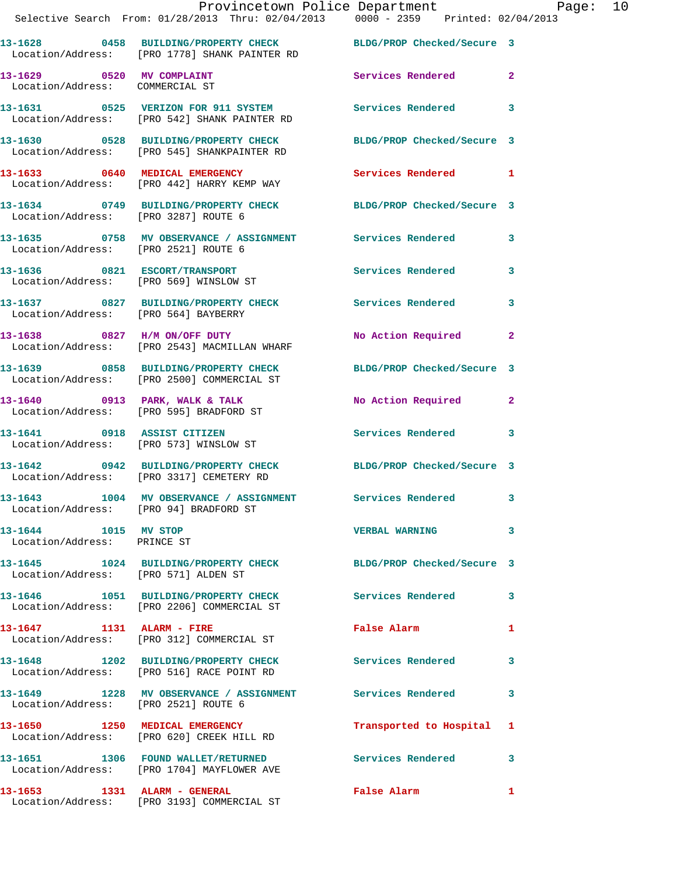|                                                     | Provincetown Police Department Page: 10<br>Selective Search From: $01/28/2013$ Thru: $02/04/2013$ $0000 - 2359$ Printed: $02/04/2013$ |                                      |              |  |
|-----------------------------------------------------|---------------------------------------------------------------------------------------------------------------------------------------|--------------------------------------|--------------|--|
|                                                     | 13-1628 0458 BUILDING/PROPERTY CHECK BLDG/PROP Checked/Secure 3<br>Location/Address: [PRO 1778] SHANK PAINTER RD                      |                                      |              |  |
| Location/Address: COMMERCIAL ST                     | 13-1629 0520 MV COMPLAINT                                                                                                             | Services Rendered 2                  |              |  |
|                                                     | 13-1631 0525 VERIZON FOR 911 SYSTEM Services Rendered 3<br>Location/Address: [PRO 542] SHANK PAINTER RD                               |                                      |              |  |
|                                                     | 13-1630 0528 BUILDING/PROPERTY CHECK BLDG/PROP Checked/Secure 3<br>Location/Address: [PRO 545] SHANKPAINTER RD                        |                                      |              |  |
|                                                     | 13-1633 0640 MEDICAL EMERGENCY<br>Location/Address: [PRO 442] HARRY KEMP WAY                                                          | Services Rendered 1                  |              |  |
|                                                     | 13-1634 0749 BUILDING/PROPERTY CHECK BLDG/PROP Checked/Secure 3<br>Location/Address: [PRO 3287] ROUTE 6                               |                                      |              |  |
|                                                     | 13-1635 0758 MV OBSERVANCE / ASSIGNMENT Services Rendered 3<br>Location/Address: [PRO 2521] ROUTE 6                                   |                                      |              |  |
|                                                     | 13-1636 0821 ESCORT/TRANSPORT Services Rendered 3<br>Location/Address: [PRO 569] WINSLOW ST                                           |                                      |              |  |
|                                                     | 13-1637 0827 BUILDING/PROPERTY CHECK Services Rendered 3<br>Location/Address: [PRO 564] BAYBERRY                                      |                                      |              |  |
|                                                     | 13-1638 0827 H/M ON/OFF DUTY<br>Location/Address: [PRO 2543] MACMILLAN WHARF                                                          | No Action Required 2                 |              |  |
|                                                     | 13-1639 0858 BUILDING/PROPERTY CHECK BLDG/PROP Checked/Secure 3<br>Location/Address: [PRO 2500] COMMERCIAL ST                         |                                      |              |  |
|                                                     | 13-1640 0913 PARK, WALK & TALK<br>Location/Address: [PRO 595] BRADFORD ST                                                             | No Action Required 2                 |              |  |
|                                                     | 13-1641 0918 ASSIST CITIZEN<br>Location/Address: [PRO 573] WINSLOW ST                                                                 | Services Rendered 3                  |              |  |
|                                                     | 13-1642 0942 BUILDING/PROPERTY CHECK BLDG/PROP Checked/Secure 3<br>Location/Address: [PRO 3317] CEMETERY RD                           |                                      |              |  |
| Location/Address: [PRO 94] BRADFORD ST              | 13-1643 1004 MV OBSERVANCE / ASSIGNMENT                                                                                               | Services Rendered                    |              |  |
| 13-1644 1015 MV STOP<br>Location/Address: PRINCE ST |                                                                                                                                       | VERBAL WARNING 3                     |              |  |
|                                                     | 13-1645 1024 BUILDING/PROPERTY CHECK BLDG/PROP Checked/Secure 3<br>Location/Address: [PRO 571] ALDEN ST                               |                                      |              |  |
|                                                     | 13-1646 1051 BUILDING/PROPERTY CHECK Services Rendered 3<br>Location/Address: [PRO 2206] COMMERCIAL ST                                |                                      |              |  |
|                                                     | 13-1647 1131 ALARM - FIRE<br>Location/Address: [PRO 312] COMMERCIAL ST                                                                | False Alarm                          | 1            |  |
|                                                     | 13-1648 1202 BUILDING/PROPERTY CHECK Services Rendered 3<br>Location/Address: [PRO 516] RACE POINT RD                                 |                                      |              |  |
| Location/Address: [PRO 2521] ROUTE 6                | 13-1649 1228 MV OBSERVANCE / ASSIGNMENT Services Rendered 3                                                                           |                                      |              |  |
|                                                     | 13-1650 1250 MEDICAL EMERGENCY<br>Location/Address: [PRO 620] CREEK HILL RD                                                           | Transported to Hospital 1            |              |  |
|                                                     | 13-1651 1306 FOUND WALLET/RETURNED Services Rendered 3<br>Location/Address: [PRO 1704] MAYFLOWER AVE                                  |                                      |              |  |
| 13-1653 1331 ALARM - GENERAL                        |                                                                                                                                       | False Alarm <b>Francisco Execute</b> | $\mathbf{1}$ |  |

Location/Address: [PRO 3193] COMMERCIAL ST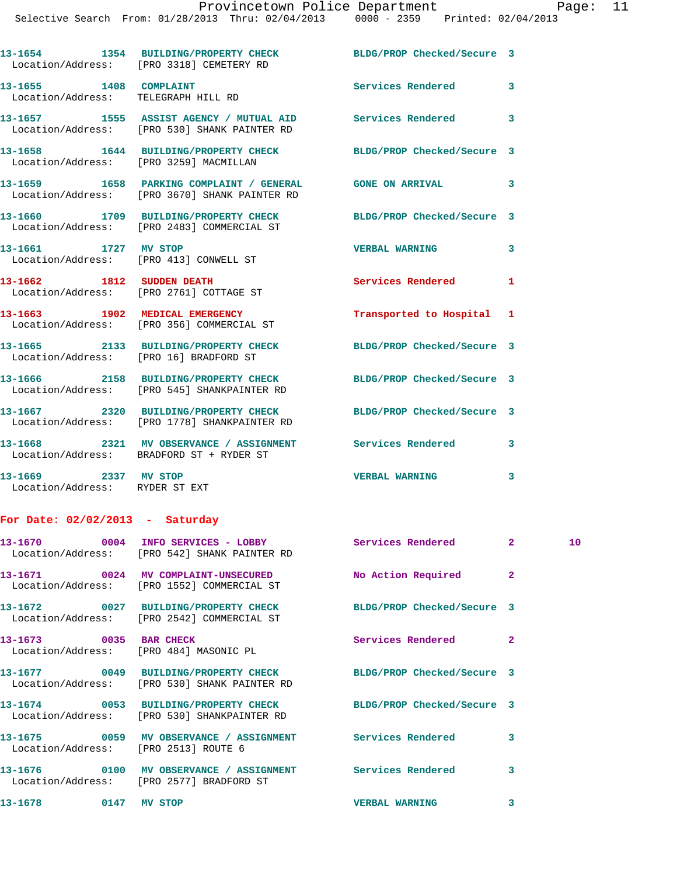|                                                                | 13-1654 1354 BUILDING/PROPERTY CHECK BLDG/PROP Checked/Secure 3<br>Location/Address: [PRO 3318] CEMETERY RD |                            |              |
|----------------------------------------------------------------|-------------------------------------------------------------------------------------------------------------|----------------------------|--------------|
| 13-1655 1408 COMPLAINT<br>Location/Address: TELEGRAPH HILL RD  |                                                                                                             | <b>Services Rendered</b>   | 3            |
|                                                                | Location/Address: [PRO 530] SHANK PAINTER RD                                                                |                            | $\mathbf{3}$ |
| Location/Address: [PRO 3259] MACMILLAN                         | 13-1658 1644 BUILDING/PROPERTY CHECK                                                                        | BLDG/PROP Checked/Secure 3 |              |
|                                                                | 13-1659 1658 PARKING COMPLAINT / GENERAL GONE ON ARRIVAL<br>Location/Address: [PRO 3670] SHANK PAINTER RD   |                            | 3            |
|                                                                | 13-1660 1709 BUILDING/PROPERTY CHECK<br>Location/Address: [PRO 2483] COMMERCIAL ST                          | BLDG/PROP Checked/Secure 3 |              |
| 13-1661 1727 MV STOP<br>Location/Address: [PRO 413] CONWELL ST |                                                                                                             | <b>VERBAL WARNING</b>      | 3            |
| 13-1662 1812 SUDDEN DEATH                                      |                                                                                                             | Services Rendered          | 1            |
|                                                                | Location/Address: [PRO 2761] COTTAGE ST                                                                     |                            |              |
|                                                                | 13-1663 1902 MEDICAL EMERGENCY<br>Location/Address: [PRO 356] COMMERCIAL ST                                 | Transported to Hospital 1  |              |
| Location/Address: [PRO 16] BRADFORD ST                         | 13-1665 2133 BUILDING/PROPERTY CHECK                                                                        | BLDG/PROP Checked/Secure 3 |              |
|                                                                | 13-1666 2158 BUILDING/PROPERTY CHECK<br>Location/Address: [PRO 545] SHANKPAINTER RD                         | BLDG/PROP Checked/Secure 3 |              |
|                                                                | 13-1667 2320 BUILDING/PROPERTY CHECK<br>Location/Address: [PRO 1778] SHANKPAINTER RD                        | BLDG/PROP Checked/Secure 3 |              |
|                                                                | 13-1668 2321 MV OBSERVANCE / ASSIGNMENT Services Rendered<br>Location/Address: BRADFORD ST + RYDER ST       |                            | 3            |

## **For Date: 02/02/2013 - Saturday**

|                                        | Location/Address: [PRO 542] SHANK PAINTER RD                                                                    |                       |                         | 10 <sup>°</sup> |
|----------------------------------------|-----------------------------------------------------------------------------------------------------------------|-----------------------|-------------------------|-----------------|
|                                        | Location/Address: [PRO 1552] COMMERCIAL ST                                                                      | No Action Required 2  |                         |                 |
|                                        | 13-1672 0027 BUILDING/PROPERTY CHECK BLDG/PROP Checked/Secure 3<br>Location/Address: [PRO 2542] COMMERCIAL ST   |                       |                         |                 |
| Location/Address: [PRO 484] MASONIC PL | $13-1673$ 0035 BAR CHECK                                                                                        | Services Rendered     | $\overline{2}$          |                 |
|                                        | 13-1677 0049 BUILDING/PROPERTY CHECK BLDG/PROP Checked/Secure 3<br>Location/Address: [PRO 530] SHANK PAINTER RD |                       |                         |                 |
|                                        | 13-1674 0053 BUILDING/PROPERTY CHECK BLDG/PROP Checked/Secure 3<br>Location/Address: [PRO 530] SHANKPAINTER RD  |                       |                         |                 |
| Location/Address: [PRO 2513] ROUTE 6   |                                                                                                                 |                       | $\overline{\mathbf{3}}$ |                 |
|                                        | Location/Address: [PRO 2577] BRADFORD ST                                                                        |                       | 3                       |                 |
| 13-1678 0147 MV STOP                   |                                                                                                                 | <b>VERBAL WARNING</b> | 3                       |                 |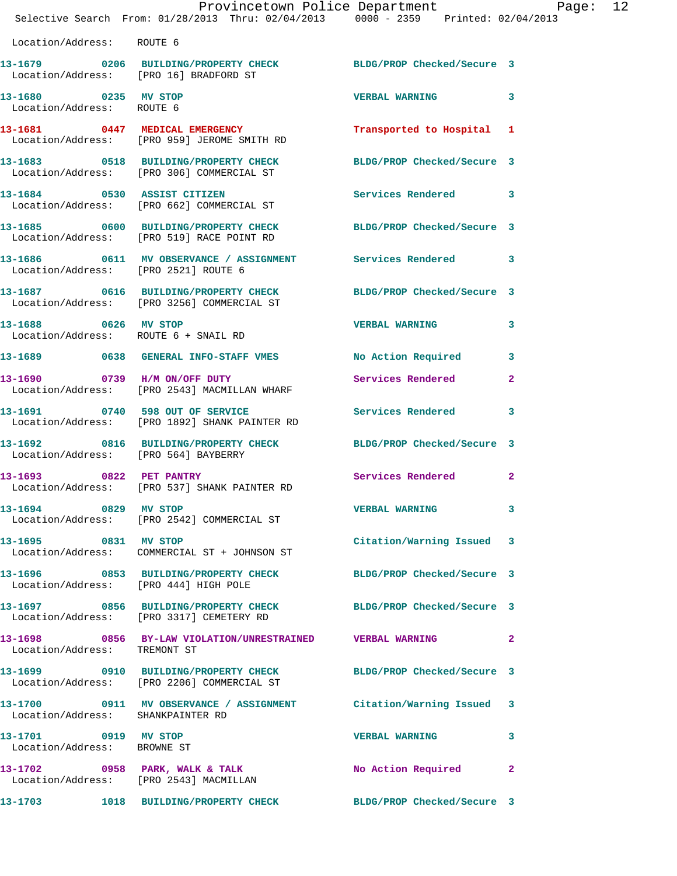|                                                     | Provincetown Police Department<br>Selective Search From: 01/28/2013 Thru: 02/04/2013 0000 - 2359 Printed: 02/04/2013 |                            |              |
|-----------------------------------------------------|----------------------------------------------------------------------------------------------------------------------|----------------------------|--------------|
| Location/Address: ROUTE 6                           |                                                                                                                      |                            |              |
|                                                     | 13-1679 0206 BUILDING/PROPERTY CHECK BLDG/PROP Checked/Secure 3<br>Location/Address: [PRO 16] BRADFORD ST            |                            |              |
| 13-1680 0235 MV STOP<br>Location/Address: ROUTE 6   |                                                                                                                      | VERBAL WARNING 3           |              |
|                                                     | 13-1681 0447 MEDICAL EMERGENCY Transported to Hospital 1<br>Location/Address: [PRO 959] JEROME SMITH RD              |                            |              |
|                                                     | 13-1683 0518 BUILDING/PROPERTY CHECK BLDG/PROP Checked/Secure 3<br>Location/Address: [PRO 306] COMMERCIAL ST         |                            |              |
|                                                     | 13-1684 0530 ASSIST CITIZEN<br>Location/Address: [PRO 662] COMMERCIAL ST                                             | Services Rendered 3        |              |
|                                                     | 13-1685 0600 BUILDING/PROPERTY CHECK BLDG/PROP Checked/Secure 3<br>Location/Address: [PRO 519] RACE POINT RD         |                            |              |
|                                                     | 13-1686 0611 MV OBSERVANCE / ASSIGNMENT Services Rendered 3<br>Location/Address: [PRO 2521] ROUTE 6                  |                            |              |
|                                                     | 13-1687 0616 BUILDING/PROPERTY CHECK BLDG/PROP Checked/Secure 3<br>Location/Address: [PRO 3256] COMMERCIAL ST        |                            |              |
|                                                     | 13-1688 0626 MV STOP<br>Location/Address: ROUTE 6 + SNAIL RD                                                         | <b>VERBAL WARNING</b>      | $\mathbf{3}$ |
|                                                     | 13-1689 0638 GENERAL INFO-STAFF VMES No Action Required 3                                                            |                            |              |
|                                                     | 13-1690 0739 H/M ON/OFF DUTY<br>Location/Address: [PRO 2543] MACMILLAN WHARF                                         | Services Rendered          | $\mathbf{2}$ |
|                                                     | 13-1691 0740 598 OUT OF SERVICE<br>Location/Address: [PRO 1892] SHANK PAINTER RD                                     | Services Rendered 3        |              |
| Location/Address: [PRO 564] BAYBERRY                | 13-1692 0816 BUILDING/PROPERTY CHECK BLDG/PROP Checked/Secure 3                                                      |                            |              |
|                                                     | 13-1693 0822 PET PANTRY<br>Location/Address: [PRO 537] SHANK PAINTER RD                                              | Services Rendered 2        |              |
| 13-1694 0829 MV STOP                                | Location/Address: [PRO 2542] COMMERCIAL ST                                                                           | VERBAL WARNING 3           |              |
|                                                     | 13-1695 0831 MV STOP<br>Location/Address: COMMERCIAL ST + JOHNSON ST                                                 | Citation/Warning Issued 3  |              |
| Location/Address: [PRO 444] HIGH POLE               | 13-1696 0853 BUILDING/PROPERTY CHECK BLDG/PROP Checked/Secure 3                                                      |                            |              |
|                                                     | 13-1697 0856 BUILDING/PROPERTY CHECK BLDG/PROP Checked/Secure 3<br>Location/Address: [PRO 3317] CEMETERY RD          |                            |              |
| Location/Address: TREMONT ST                        | 13-1698 0856 BY-LAW VIOLATION/UNRESTRAINED VERBAL WARNING 2                                                          |                            |              |
|                                                     | 13-1699       0910   BUILDING/PROPERTY CHECK<br>  Location/Address:   [PRO 2206] COMMERCIAL ST                       | BLDG/PROP Checked/Secure 3 |              |
| Location/Address: SHANKPAINTER RD                   | 13-1700 0911 MV OBSERVANCE / ASSIGNMENT Citation/Warning Issued 3                                                    |                            |              |
| 13-1701 0919 MV STOP<br>Location/Address: BROWNE ST |                                                                                                                      | <b>VERBAL WARNING</b>      | 3            |
|                                                     | 13-1702 0958 PARK, WALK & TALK<br>Location/Address: [PRO 2543] MACMILLAN                                             | No Action Required         | $\mathbf{2}$ |
|                                                     | 13-1703 1018 BUILDING/PROPERTY CHECK BLDG/PROP Checked/Secure 3                                                      |                            |              |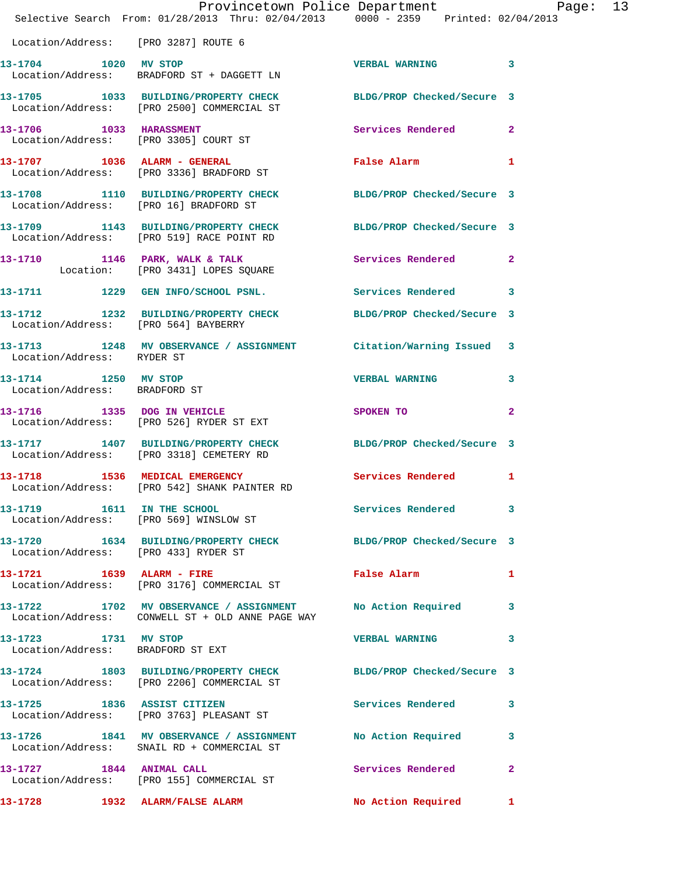|                                                       | Provincetown Police Department<br>Selective Search From: 01/28/2013 Thru: 02/04/2013 0000 - 2359 Printed: 02/04/2013 |                       |                |  |
|-------------------------------------------------------|----------------------------------------------------------------------------------------------------------------------|-----------------------|----------------|--|
| Location/Address: [PRO 3287] ROUTE 6                  |                                                                                                                      |                       |                |  |
| 13-1704 1020 MV STOP                                  | Location/Address: BRADFORD ST + DAGGETT LN                                                                           | VERBAL WARNING 3      |                |  |
|                                                       | 13-1705 1033 BUILDING/PROPERTY CHECK BLDG/PROP Checked/Secure 3<br>Location/Address: [PRO 2500] COMMERCIAL ST        |                       |                |  |
|                                                       | 13-1706 1033 HARASSMENT<br>Location/Address: [PRO 3305] COURT ST                                                     | Services Rendered 2   |                |  |
|                                                       | 13-1707 1036 ALARM - GENERAL<br>Location/Address: [PRO 3336] BRADFORD ST                                             | False Alarm 1         |                |  |
|                                                       | 13-1708 1110 BUILDING/PROPERTY CHECK BLDG/PROP Checked/Secure 3<br>Location/Address: [PRO 16] BRADFORD ST            |                       |                |  |
|                                                       | 13-1709 1143 BUILDING/PROPERTY CHECK BLDG/PROP Checked/Secure 3<br>Location/Address: [PRO 519] RACE POINT RD         |                       |                |  |
|                                                       | 13-1710 1146 PARK, WALK & TALK Services Rendered 2<br>Location: [PRO 3431] LOPES SQUARE                              |                       |                |  |
|                                                       | 13-1711 1229 GEN INFO/SCHOOL PSNL. Services Rendered 3                                                               |                       |                |  |
|                                                       | 13-1712 1232 BUILDING/PROPERTY CHECK BLDG/PROP Checked/Secure 3<br>Location/Address: [PRO 564] BAYBERRY              |                       |                |  |
|                                                       | 13-1713   1248   MV   OBSERVANCE / ASSIGNMENT   Citation/Warning Issued   3<br>Location/Address: RYDER ST            |                       |                |  |
| 13-1714 1250 MV STOP<br>Location/Address: BRADFORD ST |                                                                                                                      | <b>VERBAL WARNING</b> | 3              |  |
|                                                       | 13-1716 1335 DOG IN VEHICLE<br>Location/Address: [PRO 526] RYDER ST EXT                                              | SPOKEN TO             | $\overline{2}$ |  |
|                                                       | 13-1717 1407 BUILDING/PROPERTY CHECK BLDG/PROP Checked/Secure 3<br>Location/Address: [PRO 3318] CEMETERY RD          |                       |                |  |
|                                                       | 13-1718 1536 MEDICAL EMERGENCY 1 Services Rendered 1<br>Location/Address: [PRO 542] SHANK PAINTER RD                 |                       |                |  |
|                                                       | 13-1719 1611 IN THE SCHOOL<br>Location/Address: [PRO 569] WINSLOW ST                                                 | Services Rendered 3   |                |  |
| Location/Address: [PRO 433] RYDER ST                  | 13-1720 1634 BUILDING/PROPERTY CHECK BLDG/PROP Checked/Secure 3                                                      |                       |                |  |
| 13-1721 1639 ALARM - FIRE                             | Location/Address: [PRO 3176] COMMERCIAL ST                                                                           | False Alarm 1         |                |  |
|                                                       | 13-1722 1702 MV OBSERVANCE / ASSIGNMENT<br>Location/Address: CONWELL ST + OLD ANNE PAGE WAY                          | No Action Required 3  |                |  |
| 13-1723 1731 MV STOP                                  | Location/Address: BRADFORD ST EXT                                                                                    | VERBAL WARNING 3      |                |  |
|                                                       | 13-1724 1803 BUILDING/PROPERTY CHECK BLDG/PROP Checked/Secure 3<br>Location/Address: [PRO 2206] COMMERCIAL ST        |                       |                |  |
|                                                       | 13-1725 1836 ASSIST CITIZEN<br>Location/Address: [PRO 3763] PLEASANT ST                                              | Services Rendered     | 3              |  |
|                                                       | 13-1726 1841 MV OBSERVANCE / ASSIGNMENT No Action Required<br>Location/Address: SNAIL RD + COMMERCIAL ST             |                       | 3              |  |
| 13-1727 1844 ANIMAL CALL                              | Location/Address: [PRO 155] COMMERCIAL ST                                                                            | Services Rendered     | $\mathbf{2}$   |  |
| 13-1728                                               | 1932 ALARM/FALSE ALARM                                                                                               | No Action Required 1  |                |  |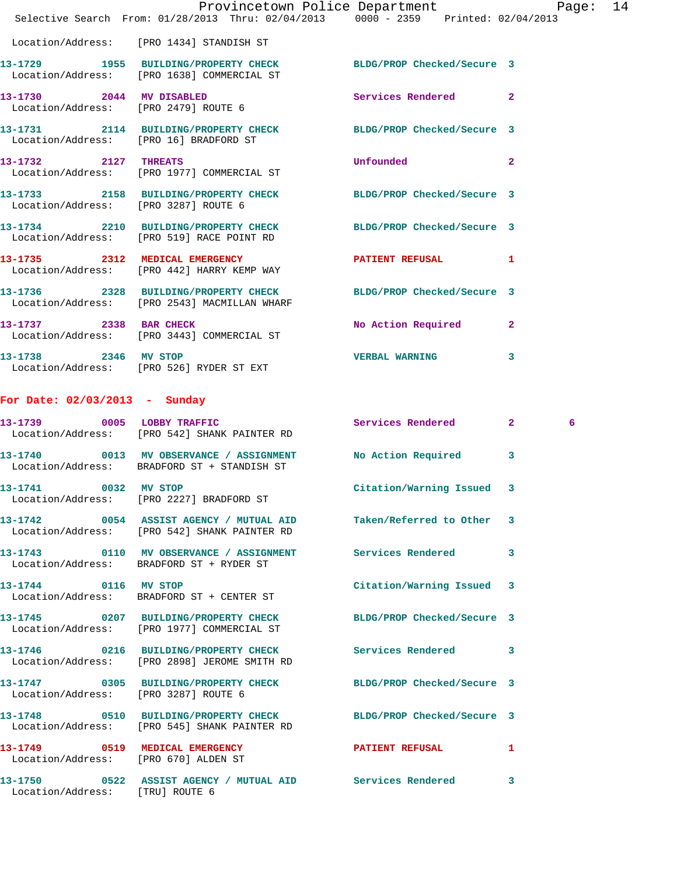|                                 | Provincetown Police Department Page: 14<br>Selective Search From: 01/28/2013 Thru: 02/04/2013 0000 - 2359 Printed: 02/04/2013 |                            |   |   |  |
|---------------------------------|-------------------------------------------------------------------------------------------------------------------------------|----------------------------|---|---|--|
|                                 | Location/Address: [PRO 1434] STANDISH ST                                                                                      |                            |   |   |  |
|                                 | 13-1729 1955 BUILDING/PROPERTY CHECK BLDG/PROP Checked/Secure 3<br>Location/Address: [PRO 1638] COMMERCIAL ST                 |                            |   |   |  |
|                                 | 13-1730 2044 MV DISABLED<br>Location/Address: [PRO 2479] ROUTE 6                                                              | Services Rendered 2        |   |   |  |
|                                 | 13-1731 2114 BUILDING/PROPERTY CHECK BLDG/PROP Checked/Secure 3<br>Location/Address: [PRO 16] BRADFORD ST                     |                            |   |   |  |
|                                 | 13-1732 2127 THREATS<br>Location/Address: [PRO 1977] COMMERCIAL ST                                                            | Unfounded                  | 2 |   |  |
|                                 | 13-1733 2158 BUILDING/PROPERTY CHECK BLDG/PROP Checked/Secure 3<br>Location/Address: [PRO 3287] ROUTE 6                       |                            |   |   |  |
|                                 | 13-1734 2210 BUILDING/PROPERTY CHECK BLDG/PROP Checked/Secure 3<br>Location/Address: [PRO 519] RACE POINT RD                  |                            |   |   |  |
|                                 | 13-1735 2312 MEDICAL EMERGENCY<br>Location/Address: [PRO 442] HARRY KEMP WAY                                                  | PATIENT REFUSAL 1          |   |   |  |
|                                 | 13-1736 2328 BUILDING/PROPERTY CHECK<br>Location/Address: [PRO 2543] MACMILLAN WHARF                                          | BLDG/PROP Checked/Secure 3 |   |   |  |
|                                 | 13-1737 2338 BAR CHECK<br>Location/Address: [PRO 3443] COMMERCIAL ST                                                          | No Action Required 2       |   |   |  |
|                                 | 13-1738 2346 MV STOP<br>Location/Address: [PRO 526] RYDER ST EXT                                                              | <b>VERBAL WARNING</b>      | 3 |   |  |
| For Date: $02/03/2013$ - Sunday |                                                                                                                               |                            |   |   |  |
|                                 | 13-1739 0005 LOBBY TRAFFIC<br>Location/Address: [PRO 542] SHANK PAINTER RD                                                    | Services Rendered 2        |   | 6 |  |
|                                 | 13-1740 0013 MV OBSERVANCE / ASSIGNMENT<br>Location/Address: BRADFORD ST + STANDISH ST                                        | No Action Required         | 3 |   |  |
| 13-1741 0032 MV STOP            | Location/Address: [PRO 2227] BRADFORD ST                                                                                      | Citation/Warning Issued 3  |   |   |  |
|                                 | 13-1742 0054 ASSIST AGENCY / MUTUAL AID Taken/Referred to Other 3<br>Location/Address: [PRO 542] SHANK PAINTER RD             |                            |   |   |  |
|                                 | Location/Address: BRADFORD ST + RYDER ST                                                                                      |                            |   |   |  |
| 13-1744 0116 MV STOP            | Location/Address: BRADFORD ST + CENTER ST                                                                                     | Citation/Warning Issued 3  |   |   |  |
|                                 | 13-1745 0207 BUILDING/PROPERTY CHECK BLDG/PROP Checked/Secure 3<br>Location/Address: [PRO 1977] COMMERCIAL ST                 |                            |   |   |  |
|                                 | 13-1746 0216 BUILDING/PROPERTY CHECK Services Rendered 3<br>Location/Address: [PRO 2898] JEROME SMITH RD                      |                            |   |   |  |
|                                 | 13-1747 0305 BUILDING/PROPERTY CHECK BLDG/PROP Checked/Secure 3<br>Location/Address: [PRO 3287] ROUTE 6                       |                            |   |   |  |
|                                 | 13-1748 0510 BUILDING/PROPERTY CHECK BLDG/PROP Checked/Secure 3<br>Location/Address: [PRO 545] SHANK PAINTER RD               |                            |   |   |  |
|                                 | 13-1749 0519 MEDICAL EMERGENCY <b>EXERGENER PATIENT REFUSAL</b> 1<br>Location/Address: [PRO 670] ALDEN ST                     |                            |   |   |  |
| Location/Address: [TRU] ROUTE 6 | 13-1750 0522 ASSIST AGENCY / MUTUAL AID Services Rendered                                                                     |                            | 3 |   |  |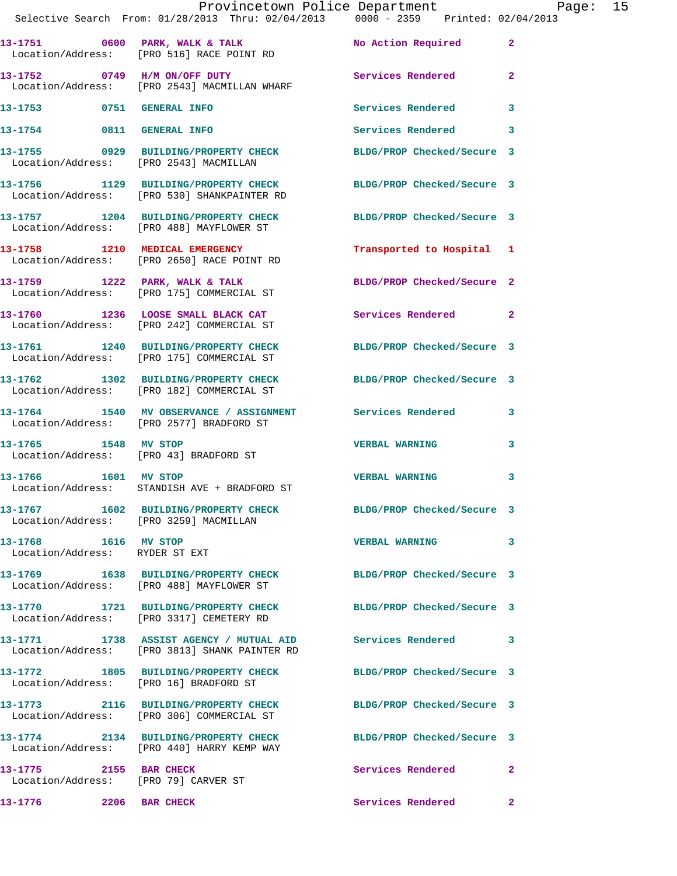|                                                                | Provincetown Police Department<br>Selective Search From: 01/28/2013 Thru: 02/04/2013 0000 - 2359 Printed: 02/04/2013 |                            |              |  |
|----------------------------------------------------------------|----------------------------------------------------------------------------------------------------------------------|----------------------------|--------------|--|
|                                                                | 13-1751 0600 PARK, WALK & TALK 1 No Action Required 2<br>Location/Address: [PRO 516] RACE POINT RD                   |                            |              |  |
|                                                                | 13-1752 0749 H/M ON/OFF DUTY Services Rendered 2<br>Location/Address: [PRO 2543] MACMILLAN WHARF                     |                            |              |  |
|                                                                | 13-1753 0751 GENERAL INFO                                                                                            | Services Rendered 3        |              |  |
|                                                                | 13-1754 0811 GENERAL INFO                                                                                            | Services Rendered 3        |              |  |
|                                                                | 13-1755 0929 BUILDING/PROPERTY CHECK BLDG/PROP Checked/Secure 3<br>Location/Address: [PRO 2543] MACMILLAN            |                            |              |  |
|                                                                | 13-1756 1129 BUILDING/PROPERTY CHECK BLDG/PROP Checked/Secure 3<br>Location/Address: [PRO 530] SHANKPAINTER RD       |                            |              |  |
|                                                                | 13-1757 1204 BUILDING/PROPERTY CHECK BLDG/PROP Checked/Secure 3<br>Location/Address: [PRO 488] MAYFLOWER ST          |                            |              |  |
|                                                                | 13-1758 1210 MEDICAL EMERGENCY<br>Location/Address: [PRO 2650] RACE POINT RD                                         | Transported to Hospital 1  |              |  |
|                                                                | 13-1759 1222 PARK, WALK & TALK 2 BLDG/PROP Checked/Secure 2<br>Location/Address: [PRO 175] COMMERCIAL ST             |                            |              |  |
|                                                                | 13-1760 1236 LOOSE SMALL BLACK CAT Services Rendered 2<br>Location/Address: [PRO 242] COMMERCIAL ST                  |                            |              |  |
|                                                                | 13-1761 1240 BUILDING/PROPERTY CHECK BLDG/PROP Checked/Secure 3<br>Location/Address: [PRO 175] COMMERCIAL ST         |                            |              |  |
|                                                                | 13-1762 1302 BUILDING/PROPERTY CHECK BLDG/PROP Checked/Secure 3<br>Location/Address: [PRO 182] COMMERCIAL ST         |                            |              |  |
|                                                                | 13-1764 1540 MV OBSERVANCE / ASSIGNMENT Services Rendered 3<br>Location/Address: [PRO 2577] BRADFORD ST              |                            |              |  |
| 13-1765 1548 MV STOP                                           | Location/Address: [PRO 43] BRADFORD ST                                                                               | <b>VERBAL WARNING</b>      | 3            |  |
|                                                                | 13-1766 1601 MV STOP<br>Location/Address: STANDISH AVE + BRADFORD ST                                                 | <b>VERBAL WARNING</b>      | 3            |  |
| Location/Address: [PRO 3259] MACMILLAN                         | 13-1767 1602 BUILDING/PROPERTY CHECK BLDG/PROP Checked/Secure 3                                                      |                            |              |  |
| 13-1768 1616 MV STOP<br>Location/Address: RYDER ST EXT         |                                                                                                                      | <b>VERBAL WARNING</b>      | $\mathbf{3}$ |  |
|                                                                | 13-1769 1638 BUILDING/PROPERTY CHECK BLDG/PROP Checked/Secure 3<br>Location/Address: [PRO 488] MAYFLOWER ST          |                            |              |  |
|                                                                | 13-1770 1721 BUILDING/PROPERTY CHECK BLDG/PROP Checked/Secure 3<br>Location/Address: [PRO 3317] CEMETERY RD          |                            |              |  |
|                                                                | 13-1771 1738 ASSIST AGENCY / MUTUAL AID Services Rendered 3<br>Location/Address: [PRO 3813] SHANK PAINTER RD         |                            |              |  |
| Location/Address: [PRO 16] BRADFORD ST                         | 13-1772 1805 BUILDING/PROPERTY CHECK                                                                                 | BLDG/PROP Checked/Secure 3 |              |  |
|                                                                | 13-1773 2116 BUILDING/PROPERTY CHECK BLDG/PROP Checked/Secure 3<br>Location/Address: [PRO 306] COMMERCIAL ST         |                            |              |  |
|                                                                | 13-1774 2134 BUILDING/PROPERTY CHECK<br>Location/Address: [PRO 440] HARRY KEMP WAY                                   | BLDG/PROP Checked/Secure 3 |              |  |
| 13-1775 2155 BAR CHECK<br>Location/Address: [PRO 79] CARVER ST |                                                                                                                      | Services Rendered 2        |              |  |
| 13-1776 2206 BAR CHECK                                         |                                                                                                                      | Services Rendered 2        |              |  |